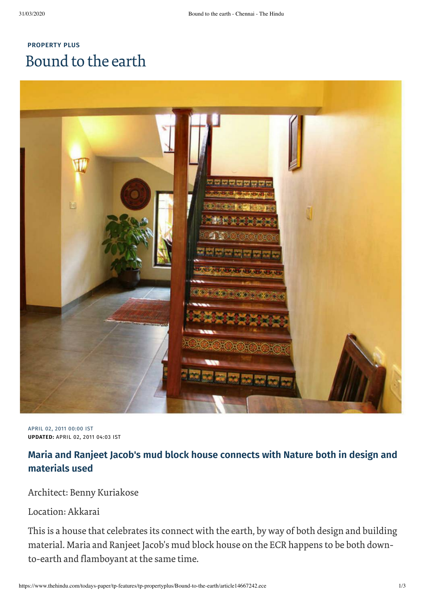# **[PROPERTY](https://www.thehindu.com/todays-paper/tp-features/tp-propertyplus/) PLUS** Bound to the earth



APRIL 02, 2011 00:00 IST **UPDATED:** APRIL 02, 2011 04:03 IST

## **Maria and Ranjeet Jacob's mud block house connects with Nature both in design and materials used**

### Architect: Benny Kuriakose

#### Location: Akkarai

This is a house that celebrates its connect with the earth, by way of both design and building material. Maria and Ranjeet Jacob's mud block house on the ECR happens to be both downto-earth and flamboyant at the same time.